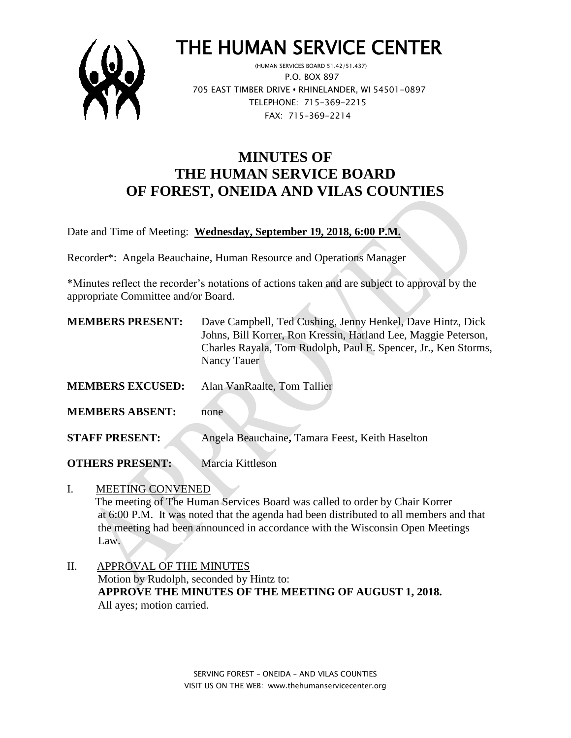

# THE HUMAN SERVICE CENTER

 (HUMAN SERVICES BOARD 51.42/51.437) P.O. BOX 897 705 EAST TIMBER DRIVE **•** RHINELANDER, WI 54501-0897 TELEPHONE: 715-369-2215 FAX: 715-369-2214

## **MINUTES OF THE HUMAN SERVICE BOARD OF FOREST, ONEIDA AND VILAS COUNTIES**

Date and Time of Meeting: **Wednesday, September 19, 2018, 6:00 P.M.**

Recorder\*: Angela Beauchaine, Human Resource and Operations Manager

\*Minutes reflect the recorder's notations of actions taken and are subject to approval by the appropriate Committee and/or Board.

| <b>MEMBERS PRESENT:</b> | Dave Campbell, Ted Cushing, Jenny Henkel, Dave Hintz, Dick<br>Johns, Bill Korrer, Ron Kressin, Harland Lee, Maggie Peterson,<br>Charles Rayala, Tom Rudolph, Paul E. Spencer, Jr., Ken Storms,<br>Nancy Tauer |
|-------------------------|---------------------------------------------------------------------------------------------------------------------------------------------------------------------------------------------------------------|
| <b>MEMBERS EXCUSED:</b> | Alan VanRaalte, Tom Tallier                                                                                                                                                                                   |
| <b>MEMBERS ABSENT:</b>  | none                                                                                                                                                                                                          |
| <b>STAFF PRESENT:</b>   | Angela Beauchaine, Tamara Feest, Keith Haselton                                                                                                                                                               |

**OTHERS PRESENT:** Marcia Kittleson

I. MEETING CONVENED

 The meeting of The Human Services Board was called to order by Chair Korrer at 6:00 P.M. It was noted that the agenda had been distributed to all members and that the meeting had been announced in accordance with the Wisconsin Open Meetings Law.

II. APPROVAL OF THE MINUTES Motion by Rudolph, seconded by Hintz to: **APPROVE THE MINUTES OF THE MEETING OF AUGUST 1, 2018.** All ayes; motion carried.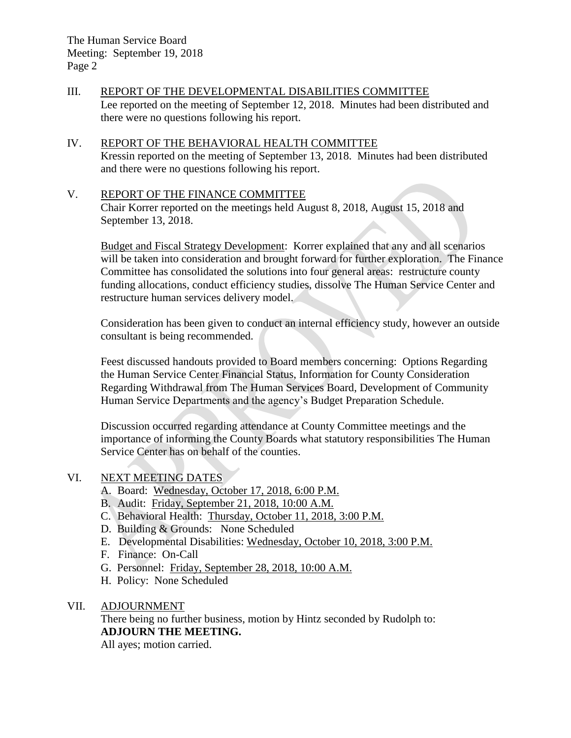#### III. REPORT OF THE DEVELOPMENTAL DISABILITIES COMMITTEE Lee reported on the meeting of September 12, 2018. Minutes had been distributed and there were no questions following his report.

#### IV. REPORT OF THE BEHAVIORAL HEALTH COMMITTEE Kressin reported on the meeting of September 13, 2018. Minutes had been distributed and there were no questions following his report.

### V. REPORT OF THE FINANCE COMMITTEE

Chair Korrer reported on the meetings held August 8, 2018, August 15, 2018 and September 13, 2018.

Budget and Fiscal Strategy Development: Korrer explained that any and all scenarios will be taken into consideration and brought forward for further exploration. The Finance Committee has consolidated the solutions into four general areas: restructure county funding allocations, conduct efficiency studies, dissolve The Human Service Center and restructure human services delivery model.

Consideration has been given to conduct an internal efficiency study, however an outside consultant is being recommended.

Feest discussed handouts provided to Board members concerning: Options Regarding the Human Service Center Financial Status, Information for County Consideration Regarding Withdrawal from The Human Services Board, Development of Community Human Service Departments and the agency's Budget Preparation Schedule.

Discussion occurred regarding attendance at County Committee meetings and the importance of informing the County Boards what statutory responsibilities The Human Service Center has on behalf of the counties.

### VI. NEXT MEETING DATES

- A. Board: Wednesday, October 17, 2018, 6:00 P.M.
- B. Audit: Friday, September 21, 2018, 10:00 A.M.
- C. Behavioral Health: Thursday, October 11, 2018, 3:00 P.M.
- D. Building & Grounds: None Scheduled
- E. Developmental Disabilities: Wednesday, October 10, 2018, 3:00 P.M.
- F. Finance: On-Call
- G. Personnel: Friday, September 28, 2018, 10:00 A.M.
- H. Policy: None Scheduled

#### VII. ADJOURNMENT

There being no further business, motion by Hintz seconded by Rudolph to: **ADJOURN THE MEETING.**

All ayes; motion carried.